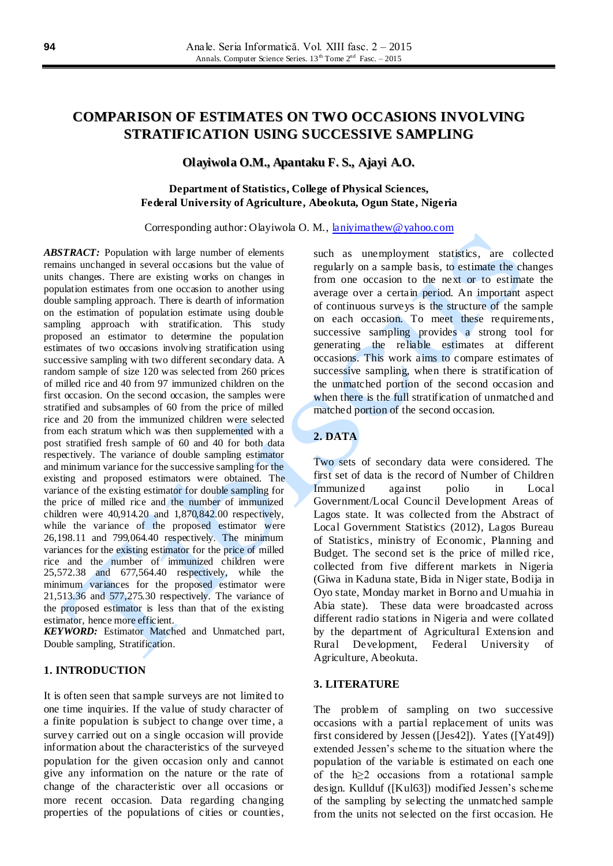# **COMPARISON OF ESTIMATES ON TWO OCCASIONS INVOLVING STRATIFICATION USING SUCCESSIVE SAMPLING**

## **Olayiwola O.M., Apantaku F. S., Ajayi A.O.**

## **Department of Statistics, College of Physical Sciences, Federal University of Agriculture, Abeokuta, Ogun State, Nigeria**

Corresponding author: Olayiwola O. M., [laniyimathew@yahoo.com](mailto:laniyimathew@yahoo.com)

*ABSTRACT:* Population with large number of elements remains unchanged in several occasions but the value of units changes. There are existing works on changes in population estimates from one occasion to another using double sampling approach. There is dearth of information on the estimation of population estimate using double sampling approach with stratification. This study proposed an estimator to determine the population estimates of two occasions involving stratification using successive sampling with two different secondary data. A random sample of size 120 was selected from 260 prices of milled rice and 40 from 97 immunized children on the first occasion. On the second occasion, the samples were stratified and subsamples of 60 from the price of milled rice and 20 from the immunized children were selected from each stratum which was then supplemented with a post stratified fresh sample of 60 and 40 for both data respectively. The variance of double sampling estimator and minimum variance for the successive sampling for the existing and proposed estimators were obtained. The variance of the existing estimator for double sampling for the price of milled rice and the number of immunized children were 40,914.20 and 1,870,842.00 respectively, while the variance of the proposed estimator were 26,198.11 and 799,064.40 respectively. The minimum variances for the existing estimator for the price of milled rice and the number of immunized children were 25,572.38 and 677,564.40 respectively, while the minimum variances for the proposed estimator were 21,513.36 and 577,275.30 respectively. The variance of the proposed estimator is less than that of the existing estimator, hence more efficient.

*KEYWORD:* Estimator Matched and Unmatched part, Double sampling, Stratification.

## **1. INTRODUCTION**

It is often seen that sample surveys are not limited to one time inquiries. If the value of study character of a finite population is subject to change over time, a survey carried out on a single occasion will provide information about the characteristics of the surveyed population for the given occasion only and cannot give any information on the nature or the rate of change of the characteristic over all occasions or more recent occasion. Data regarding changing properties of the populations of cities or counties, such as unemployment statistics, are collected regularly on a sample basis, to estimate the changes from one occasion to the next or to estimate the average over a certain period. An important aspect of continuous surveys is the structure of the sample on each occasion. To meet these requirements, successive sampling provides a strong tool for generating the reliable estimates at different occasions. This work aims to compare estimates of successive sampling, when there is stratification of the unmatched portion of the second occasion and when there is the full stratification of unmatched and matched portion of the second occasion.

# **2. DATA**

Two sets of secondary data were considered. The first set of data is the record of Number of Children Immunized against polio in Local Government/Local Council Development Areas of Lagos state. It was collected from the Abstract of Local Government Statistics (2012), Lagos Bureau of Statistics, ministry of Economic, Planning and Budget. The second set is the price of milled rice, collected from five different markets in Nigeria (Giwa in Kaduna state, Bida in Niger state, Bodija in Oyo state, Monday market in Borno and Umuahia in Abia state). These data were broadcasted across different radio stations in Nigeria and were collated by the department of Agricultural Extension and Rural Development, Federal University of Agriculture, Abeokuta.

## **3. LITERATURE**

The problem of sampling on two successive occasions with a partial replacement of units was first considered by Jessen ([Jes42]). Yates ([Yat49]) extended Jessen's scheme to the situation where the population of the variable is estimated on each one of the h≥2 occasions from a rotational sample design. Kullduf ([Kul63]) modified Jessen's scheme of the sampling by selecting the unmatched sample from the units not selected on the first occasion. He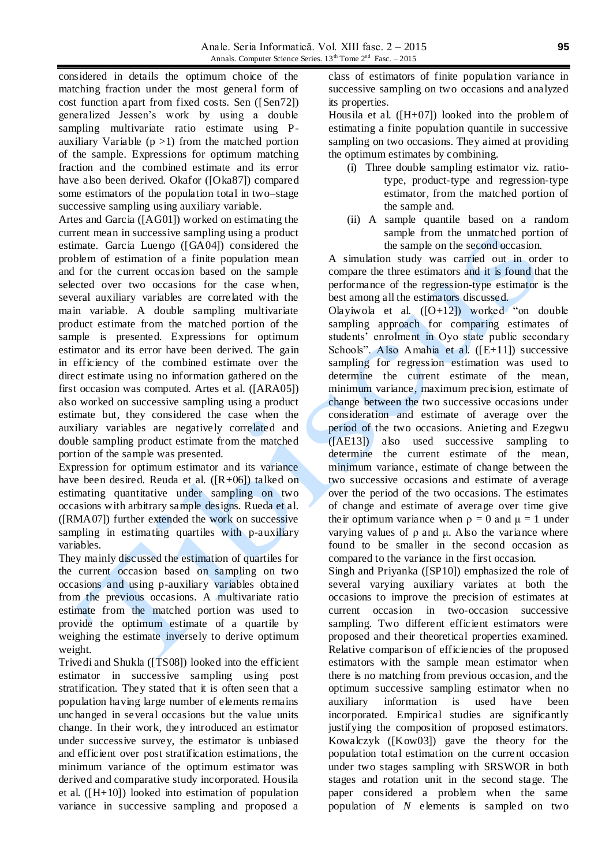considered in details the optimum choice of the matching fraction under the most general form of cost function apart from fixed costs. Sen ([Sen72]) generalized Jessen's work by using a double sampling multivariate ratio estimate using Pauxiliary Variable  $(p > 1)$  from the matched portion of the sample. Expressions for optimum matching fraction and the combined estimate and its error have also been derived. Okafor ([Oka87]) compared some estimators of the population total in two–stage successive sampling using auxiliary variable.

Artes and Garcia ([AG01]) worked on estimating the current mean in successive sampling using a product estimate. Garcia Luengo ([GA04]) considered the problem of estimation of a finite population mean and for the current occasion based on the sample selected over two occasions for the case when, several auxiliary variables are correlated with the main variable. A double sampling multivariate product estimate from the matched portion of the sample is presented. Expressions for optimum estimator and its error have been derived. The gain in efficiency of the combined estimate over the direct estimate using no information gathered on the first occasion was computed. Artes et al. ([ARA05]) also worked on successive sampling using a product estimate but, they considered the case when the auxiliary variables are negatively correlated and double sampling product estimate from the matched portion of the sample was presented.

Expression for optimum estimator and its variance have been desired. Reuda et al. ([R+06]) talked on estimating quantitative under sampling on two occasions with arbitrary sample designs. Rueda et al. ([RMA07]) further extended the work on successive sampling in estimating quartiles with p-auxiliary variables.

They mainly discussed the estimation of quartiles for the current occasion based on sampling on two occasions and using p-auxiliary variables obtained from the previous occasions. A multivariate ratio estimate from the matched portion was used to provide the optimum estimate of a quartile by weighing the estimate inversely to derive optimum weight.

Trivedi and Shukla ([TS08]) looked into the efficient estimator in successive sampling using post stratification. They stated that it is often seen that a population having large number of elements remains unchanged in several occasions but the value units change. In their work, they introduced an estimator under successive survey, the estimator is unbiased and efficient over post stratification estimations, the minimum variance of the optimum estimator was derived and comparative study incorporated. Housila et al. ([H+10]) looked into estimation of population variance in successive sampling and proposed a

class of estimators of finite population variance in successive sampling on two occasions and analyzed its properties.

Housila et al.  $([H+07])$  looked into the problem of estimating a finite population quantile in successive sampling on two occasions. They aimed at providing the optimum estimates by combining.

- (i) Three double sampling estimator viz. ratiotype, product-type and regression-type estimator, from the matched portion of the sample and.
- (ii) A sample quantile based on a random sample from the unmatched portion of the sample on the second occasion.

A simulation study was carried out in order to compare the three estimators and it is found that the performance of the regression-type estimator is the best among all the estimators discussed.

Olayiwola et al.  $([O+12])$  worked "on double" sampling approach for comparing estimates of students' enrolment in Oyo state public secondary Schools". Also Amahia et al. ([E+11]) successive sampling for regression estimation was used to determine the current estimate of the mean, minimum variance, maximum precision, estimate of change between the two successive occasions under consideration and estimate of average over the period of the two occasions. Anieting and Ezegwu ([AE13]) also used successive sampling to determine the current estimate of the mean, minimum variance, estimate of change between the two successive occasions and estimate of average over the period of the two occasions. The estimates of change and estimate of average over time give their optimum variance when  $\rho = 0$  and  $\mu = 1$  under varying values of ρ and μ. Also the variance where found to be smaller in the second occasion as compared to the variance in the first occasion.

Singh and Priyanka ([SP10]) emphasized the role of several varying auxiliary variates at both the occasions to improve the precision of estimates at current occasion in two-occasion successive sampling. Two different efficient estimators were proposed and their theoretical properties examined. Relative comparison of efficiencies of the proposed estimators with the sample mean estimator when there is no matching from previous occasion, and the optimum successive sampling estimator when no auxiliary information is used have been incorporated. Empirical studies are significantly justifying the composition of proposed estimators. Kowalczyk ([Kow03]) gave the theory for the population total estimation on the curre nt occasion under two stages sampling with SRSWOR in both stages and rotation unit in the second stage. The paper considered a problem when the same population of *N* elements is sampled on two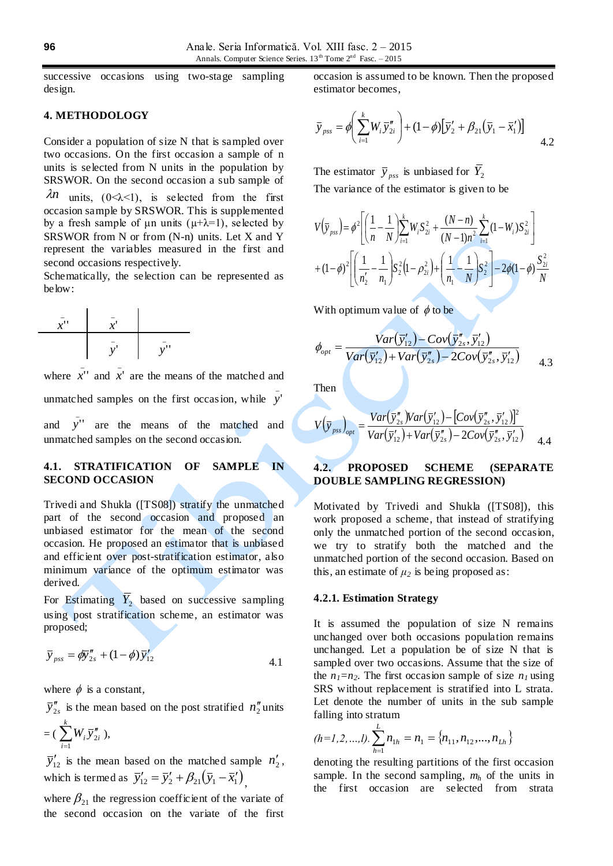successive occasions using two-stage sampling design.

## **4. METHODOLOGY**

Consider a population of size N that is sampled over two occasions. On the first occasion a sample of n units is selected from N units in the population by SRSWOR. On the second occasion a sub sample of

 $\lambda n$  units, (0< $\lambda$ <1), is selected from the first occasion sample by SRSWOR. This is supplemented by a fresh sample of  $\mu$ n units ( $\mu+\lambda=1$ ), selected by SRSWOR from N or from (N-n) units. Let X and Y represent the variables measured in the first and second occasions respectively.

Schematically, the selection can be represented as below:



\_

where  $\bar{x}$ <sup>"</sup> and  $\overline{x}$ <sup>'</sup> are the means of the matched and

unmatched samples on the first occasion, while \_ *y*'

and *y*'' are the means of the matched and unmatched samples on the second occasion.

## **4.1. STRATIFICATION OF SAMPLE IN SECOND OCCASION**

Trivedi and Shukla ([TS08]) stratify the unmatched part of the second occasion and proposed an unbiased estimator for the mean of the second occasion. He proposed an estimator that is unbiased and efficient over post-stratification estimator, also minimum variance of the optimum estimator was derived.

For Estimating  $Y_2$  based on successive sampling using post stratification scheme, an estimator was proposed;

$$
\overline{y}_{\text{pss}} = \phi \overline{y}_{2s}'' + (1 - \phi) \overline{y}_{12}'
$$
\n
$$
\qquad \qquad 4.1
$$

where  $\phi$  is a constant,

 $\overline{y}^{\prime\prime}_{2s}$  is the mean based on the post stratified  $n^{\prime\prime}_{2}$  units  $= (\sum_{i=1}^{k} W_i \overline{y}_2'')$ *i*  $W_i \overline{y}''_{2i}$ 1  $\binom{n}{2i}$ ,

 $\overline{y}'_{12}$  is the mean based on the matched sample  $n'_2$ , which is termed as  $\overline{y}'_{12} = \overline{y}'_2 + \beta_{21} (\overline{y}_1 - \overline{x}'_1)$ ,

where  $\beta_{21}$  the regression coefficient of the variate of the second occasion on the variate of the first

occasion is assumed to be known. Then the proposed estimator becomes,

$$
\overline{y}_{pss} = \phi \left( \sum_{i=1}^{k} W_i \overline{y}_{2i}'' \right) + (1 - \phi) \left[ \overline{y}_2' + \beta_{21} (\overline{y}_1 - \overline{x}_1') \right]
$$
 4.2

The estimator  $\overline{y}_{pss}$  is unbiased for  $Y_2$ The variance of the estimator is given to be

$$
V(\bar{y}_{pss}) = \phi^2 \left[ \left( \frac{1}{n} - \frac{1}{N} \right) \sum_{i=1}^k W_i S_{2i}^2 + \frac{(N-n)}{(N-1)n^2} \sum_{i=1}^k (1 - W_i) S_{2i}^2 \right] + (1 - \phi)^2 \left[ \left( \frac{1}{n'_2} - \frac{1}{n_1} \right) S_2^2 (1 - \rho_{2i}^2) + \left( \frac{1}{n_1} - \frac{1}{N} \right) S_2^2 \right] - 2\phi (1 - \phi) \frac{S_{2i}^2}{N}
$$

With optimum value of  $\phi$  to be

$$
\phi_{opt} = \frac{Var(\bar{y}_{12}') - Cov(\bar{y}_{2s}'', \bar{y}_{12}')}{Var(\bar{y}_{12}') + Var(\bar{y}_{2s}'') - 2Cov(\bar{y}_{2s}'', \bar{y}_{12}')}
$$

Then

$$
V(\bar{y}_{pss})_{opt} = \frac{Var(\bar{y}_{2s}''')Var(\bar{y}_{12}') - [Cov(\bar{y}_{2s}'', \bar{y}_{12}')]^2}{Var(\bar{y}_{12}') + Var(\bar{y}_{2s}'') - 2Cov(\bar{y}_{2s}'', \bar{y}_{12}')} \qquad (4.4)
$$

## **4.2. PROPOSED SCHEME (SEPARATE DOUBLE SAMPLING REGRESSION)**

Motivated by Trivedi and Shukla ([TS08]), this work proposed a scheme, that instead of stratifying only the unmatched portion of the second occasion, we try to stratify both the matched and the unmatched portion of the second occasion. Based on this, an estimate of  $\mu_2$  is being proposed as:

#### **4.2.1. Estimation Strategy**

It is assumed the population of size N remains unchanged over both occasions population remains unchanged. Let a population be of size N that is sampled over two occasions. Assume that the size of the  $n_1 = n_2$ . The first occasion sample of size  $n_1$  using SRS without replacement is stratified into L strata. Let denote the number of units in the sub sample falling into stratum

$$
(h=1,2,...,l).\sum_{h=1}^{L} n_{1h} = n_1 = \{n_{11}, n_{12},...,n_{Lh}\}
$$

denoting the resulting partitions of the first occasion sample. In the second sampling, *m<sup>h</sup>* of the units in the first occasion are selected from strata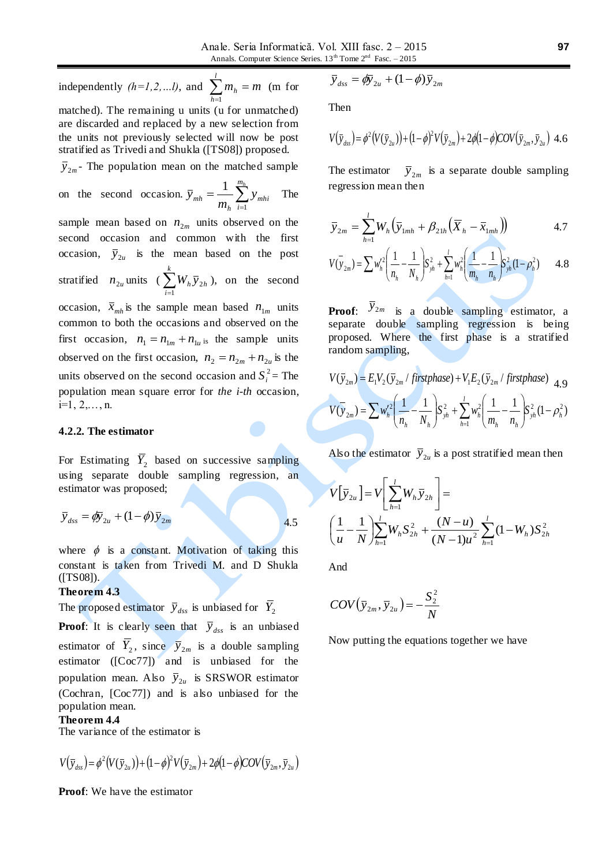independently  $(h=1,2,...l)$ , and  $\sum m_h = m$ *l*  $\sum_{h=1}$   $m_h$  = (m for matched). The remaining u units (u for unmatched)

are discarded and replaced by a new selection from the units not previously selected will now be post stratified as Trivedi and Shukla ([TS08]) proposed.

 $\bar{y}_{2m}$ - The population mean on the matched sample

on the second occasion. 
$$
\overline{y}_{mh} = \frac{1}{m_h} \sum_{i=1}^{m_h} y_{mhi}
$$
 The

sample mean based on  $n_{2m}$  units observed on the second occasion and common with the first occasion,  $\bar{y}_{2u}$  is the mean based on the post stratified  $n_{2u}$  units ( $\sum_{i=1}^{k}$ *i*  $W_h \bar{y}_{2h}$ 1  $_{2h}$ ), on the second occasion,  $\bar{x}_{mh}$  is the sample mean based  $n_{1m}$  units common to both the occasions and observed on the first occasion,  $n_1 = n_{1m} + n_{1u}$  is the sample units observed on the first occasion,  $n_2 = n_{2m} + n_{2u}$  is the units observed on the second occasion and  $S_i^2$  = The population mean square error for *the i-th* occasion,  $i=1, 2, \ldots, n$ .

## **4.2.2. The estimator**

For Estimating  $Y_2$  based on successive sampling using separate double sampling regression, an estimator was proposed;

$$
\overline{y}_{dss} = \phi \overline{y}_{2u} + (1 - \phi) \overline{y}_{2m}
$$

where  $\phi$  is a constant. Motivation of taking this constant is taken from Trivedi M. and D Shukla ([TS08]).

### **Theorem 4.3**

The proposed estimator  $\bar{y}_{dss}$  is unbiased for  $\bar{Y}_2$ 

**Proof:** It is clearly seen that  $\overline{y}_{dss}$  is an unbiased estimator of  $\overline{Y}_2$ , since  $\overline{y}_{2m}$  is a double sampling estimator ([Coc77]) and is unbiased for the population mean. Also  $\bar{y}_{2u}$  is SRSWOR estimator (Cochran, [Coc77]) and is also unbiased for the population mean.

## **Theorem 4.4**

The variance of the estimator is

$$
V(\bar{y}_{ds}) = \phi^2(V(\bar{y}_{2u})) + (1-\phi)^2 V(\bar{y}_{2m}) + 2\phi(1-\phi)COV(\bar{y}_{2m}, \bar{y}_{2u})
$$

**Proof**: We have the estimator

$$
\overline{y}_{dss} = \phi \overline{y}_{2u} + (1 - \phi) \overline{y}_{2m}
$$

Then

$$
V(\bar{y}_{dss}) = \phi^2 (V(\bar{y}_{2u})) + (1 - \phi)^2 V(\bar{y}_{2m}) + 2\phi (1 - \phi) COV(\bar{y}_{2m}, \bar{y}_{2u})
$$
 4.6

The estimator  $\bar{y}_{2m}$  is a separate double sampling regression mean then

$$
\overline{y}_{2m} = \sum_{h=1}^{l} W_h \left( \overline{y}_{1mh} + \beta_{21h} \left( \overline{X}_h - \overline{X}_{1mh} \right) \right)
$$
 4.7

$$
V(\bar{y}_{2m}) = \sum w_h'^2 \left( \frac{1}{n_h} - \frac{1}{N_h} \right) S_{yh}^2 + \sum_{h=1}^l w_h^2 \left( \frac{1}{m_h} - \frac{1}{n_h} \right) S_{yh}^2 (1 - \rho_h^2) \qquad 4.8
$$

**Proof:**  $\overline{y}_{2m}$  is a double sampling estimator, a separate double sampling regression is being proposed. Where the first phase is a stratified random sampling,

$$
V(\bar{y}_{2m}) = E_1 V_2 (\bar{y}_{2m} / \text{first phase}) + V_1 E_2 (\bar{y}_{2m} / \text{first phase})
$$
4.9  

$$
V(\bar{y}_{2m}) = \sum w_h'^2 \left(\frac{1}{n_h} - \frac{1}{N_h}\right) S_{yh}^2 + \sum_{h=1}^l w_h^2 \left(\frac{1}{m_h} - \frac{1}{n_h}\right) S_{yh}^2 (1 - \rho_h^2)
$$

Also the estimator  $\bar{y}_{2u}$  is a post stratified mean then

$$
V[\bar{y}_{2u}] = V\left[\sum_{h=1}^{l} W_h \bar{y}_{2h}\right] =
$$
  

$$
\left(\frac{1}{u} - \frac{1}{N}\right) \sum_{h=1}^{l} W_h S_{2h}^2 + \frac{(N-u)}{(N-1)u^2} \sum_{h=1}^{l} (1 - W_h) S_{2h}^2
$$

And

4.5

$$
COV(\bar{y}_{2m}, \bar{y}_{2u}) = -\frac{S_2^2}{N}
$$

Now putting the equations together we have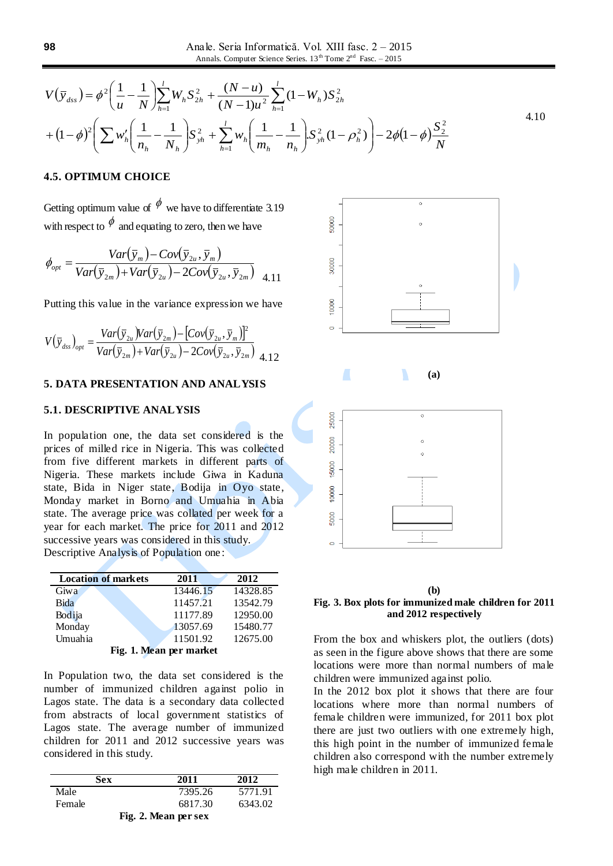$$
V(\bar{y}_{dss}) = \phi^2 \left( \frac{1}{u} - \frac{1}{N} \right) \sum_{h=1}^{l} W_h S_{2h}^2 + \frac{(N-u)}{(N-1)u^2} \sum_{h=1}^{l} (1 - W_h) S_{2h}^2
$$
  
+  $(1 - \phi)^2 \left( \sum w_h' \left( \frac{1}{n_h} - \frac{1}{N_h} \right) S_{yh}^2 + \sum_{h=1}^{l} w_h \left( \frac{1}{m_h} - \frac{1}{n_h} \right) S_{yh}^2 (1 - \rho_h^2) \right) - 2\phi (1 - \phi) \frac{S_2^2}{N}$  (4.10)

## **4.5. OPTIMUM CHOICE**

Getting optimum value of  $\phi$  we have to differentiate 3.19 with respect to  $\phi$  and equating to zero, then we have

$$
\phi_{opt} = \frac{Var(\bar{y}_m) - Cov(\bar{y}_{2u}, \bar{y}_m)}{Var(\bar{y}_{2m}) + Var(\bar{y}_{2u}) - 2Cov(\bar{y}_{2u}, \bar{y}_{2m})}
$$
 4.11

Putting this value in the variance expression we have

$$
V(\bar{y}_{ds})_{opt} = \frac{Var(\bar{y}_{2u})Var(\bar{y}_{2m}) - [Cov(\bar{y}_{2u}, \bar{y}_{m})]^2}{Var(\bar{y}_{2m}) + Var(\bar{y}_{2u}) - 2Cov(\bar{y}_{2u}, \bar{y}_{2m})} \tag{4.12}
$$

### **5. DATA PRESENTATION AND ANALYSIS**

## **5.1. DESCRIPTIVE ANALYSIS**

In population one, the data set considered is the prices of milled rice in Nigeria. This was collected from five different markets in different parts of Nigeria. These markets include Giwa in Kaduna state, Bida in Niger state, Bodija in Oyo state, Monday market in Borno and Umuahia in Abia state. The average price was collated per week for a year for each market. The price for 2011 and 2012 successive years was considered in this study. Descriptive Analysis of Population one :

| <b>Location of markets</b> | 2011     | 2012     |  |
|----------------------------|----------|----------|--|
| Giwa                       | 13446.15 | 14328.85 |  |
| Bida                       | 11457.21 | 13542.79 |  |
| Bodija                     | 11177.89 | 12950.00 |  |
| Monday                     | 13057.69 | 15480.77 |  |
| Umuahia                    | 11501.92 | 12675.00 |  |
| Fig. 1. Mean per market    |          |          |  |

In Population two, the data set considered is the number of immunized children against polio in Lagos state. The data is a secondary data collected from abstracts of local government statistics of Lagos state. The average number of immunized children for 2011 and 2012 successive years was considered in this study.

| Sex    | 2011                 | 2012    |
|--------|----------------------|---------|
| Male   | 7395.26              | 5771.91 |
| Female | 6817.30              | 6343.02 |
|        | Fig. 2. Mean per sex |         |



#### **(b)**

### **Fig. 3. Box plots for immunized male children for 2011 and 2012 respectively**

From the box and whiskers plot, the outliers (dots) as seen in the figure above shows that there are some locations were more than normal numbers of male children were immunized against polio.

In the 2012 box plot it shows that there are four locations where more than normal numbers of female children were immunized, for 2011 box plot there are just two outliers with one extremely high, this high point in the number of immunized female children also correspond with the number extremely high male children in 2011.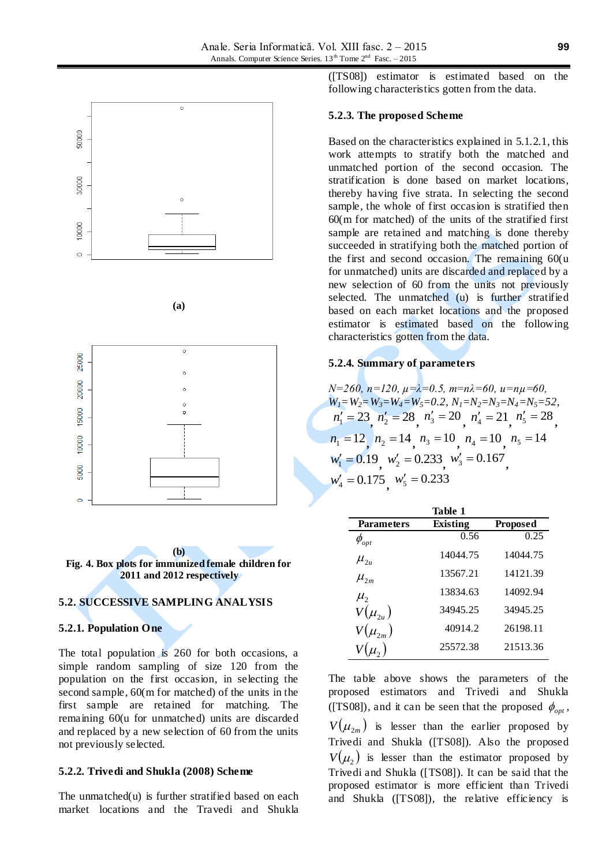

$$
(a)
$$





## **5.2. SUCCESSIVE SAMPLING ANALYSIS**

#### **5.2.1. Population One**

The total population is 260 for both occasions, a simple random sampling of size 120 from the population on the first occasion, in selecting the second sample, 60(m for matched) of the units in the first sample are retained for matching. The remaining 60(u for unmatched) units are discarded and replaced by a new selection of 60 from the units not previously selected.

## **5.2.2. Trivedi and Shukla (2008) Scheme**

The unmatched(u) is further stratified based on each market locations and the Travedi and Shukla ([TS08]) estimator is estimated based on the following characteristics gotten from the data.

### **5.2.3. The proposed Scheme**

Based on the characteristics explained in 5.1.2.1, this work attempts to stratify both the matched and unmatched portion of the second occasion. The stratification is done based on market locations, thereby having five strata. In selecting the second sample, the whole of first occasion is stratified then 60(m for matched) of the units of the stratified first sample are retained and matching is done thereby succeeded in stratifying both the matched portion of the first and second occasion. The remaining 60(u for unmatched) units are discarded and replaced by a new selection of 60 from the units not previously selected. The unmatched (u) is further stratified based on each market locations and the proposed estimator is estimated based on the following characteristics gotten from the data.

#### **5.2.4. Summary of parameters**

*N=260, n=120, µ=λ=0.5, m=nλ=60, u=nµ=60, W1=W2=W3=W4=W5=0.2, N1=N2=N3=N4=N5=52,*  $n'_1 = 23, n'_2 = 28, n'_3 = 20, n'_4 = 21, n'_5 = 28,$  $n_1 = 12$ ,  $n_2 = 14$ ,  $n_3 = 10$ ,  $n_4 = 10$ ,  $n_5 = 14$  $w'_1 = 0.19, w'_2 = 0.233, w'_3 = 0.167,$  $w_4' = 0.175$ ,  $w_5' = 0.233$ 

|                   | Table 1  |                 |
|-------------------|----------|-----------------|
| <b>Parameters</b> | Existing | <b>Proposed</b> |
| $\phi_{opt}$      | 0.56     | 0.25            |
| $\mu_{2u}$        | 14044.75 | 14044.75        |
| $\mu_{2m}$        | 13567.21 | 14121.39        |
| $\mu_{2}$         | 13834.63 | 14092.94        |
| $V(\mu_{2u})$     | 34945.25 | 34945.25        |
| $V(\mu_{2m})$     | 40914.2  | 26198.11        |
|                   | 25572.38 | 21513.36        |

The table above shows the parameters of the proposed estimators and Trivedi and Shukla ([TS08]), and it can be seen that the proposed  $\phi_{opt}$ ,  $V(\mu_{2m})$  is lesser than the earlier proposed by Trivedi and Shukla ([TS08]). Also the proposed  $V(\mu_2)$  is lesser than the estimator proposed by Trivedi and Shukla ([TS08]). It can be said that the proposed estimator is more efficient than Trivedi and Shukla ([TS08]), the relative efficiency is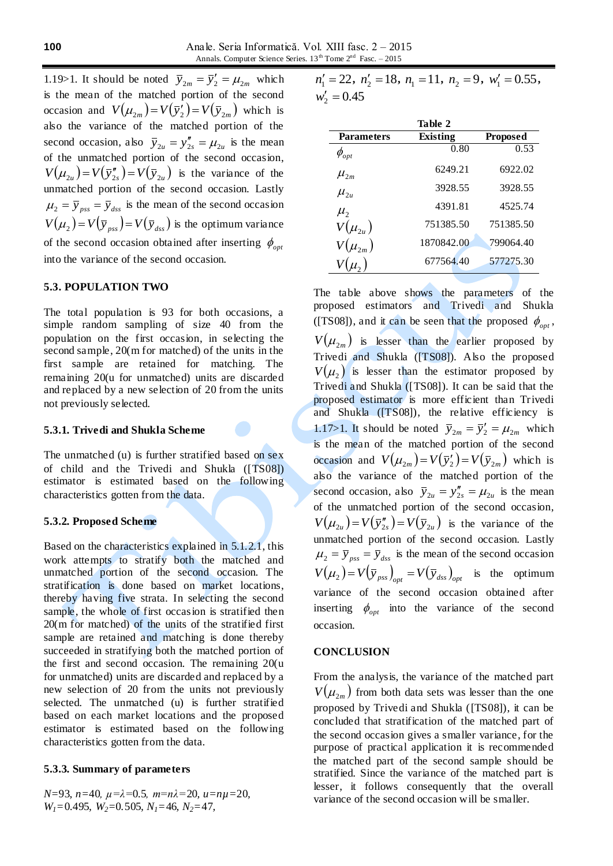1.19>1. It should be noted  $\bar{y}_{2m} = \bar{y}'_2 = \mu_{2m}$  which is the mean of the matched portion of the second occasion and  $V(\mu_{2m}) = V(\bar{y}_2') = V(\bar{y}_{2m})$  which is also the variance of the matched portion of the second occasion, also  $\bar{y}_{2u} = y''_{2s} = \mu_{2u}$  is the mean of the unmatched portion of the second occasion,  $V(\mu_{2u}) = V(\bar{y}_{2s}^{\prime\prime}) = V(\bar{y}_{2u})$  is the variance of the unmatched portion of the second occasion. Lastly  $\mu_2 = \bar{y}_{pss} = \bar{y}_{dss}$  is the mean of the second occasion  $V(\mu_2) = V(\bar{y}_{\text{pss}}) = V(\bar{y}_{\text{dss}})$  is the optimum variance of the second occasion obtained after inserting  $\phi_{opt}$ into the variance of the second occasion.

## **5.3. POPULATION TWO**

The total population is 93 for both occasions, a simple random sampling of size 40 from the population on the first occasion, in selecting the second sample, 20(m for matched) of the units in the first sample are retained for matching. The remaining 20(u for unmatched) units are discarded and replaced by a new selection of 20 from the units not previously selected.

#### **5.3.1. Trivedi and Shukla Scheme**

The unmatched (u) is further stratified based on sex of child and the Trivedi and Shukla ([TS08]) estimator is estimated based on the following characteristics gotten from the data.

### **5.3.2. Proposed Scheme**

Based on the characteristics explained in 5.1.2.1, this work attempts to stratify both the matched and unmatched portion of the second occasion. The stratification is done based on market locations, thereby having five strata. In selecting the second sample, the whole of first occasion is stratified then 20(m for matched) of the units of the stratified first sample are retained and matching is done thereby succeeded in stratifying both the matched portion of the first and second occasion. The remaining 20(u for unmatched) units are discarded and replaced by a new selection of 20 from the units not previously selected. The unmatched (u) is further stratified based on each market locations and the proposed estimator is estimated based on the following characteristics gotten from the data.

### **5.3.3. Summary of parameters**

*N=*93*, n=*40*, µ=λ=*0.5*, m=nλ=*20*, u=nµ=*20*, W1=*0.495*, W2=*0.505*, N1=*46*, N2=*47*,*

 $n'_1 = 22$ ,  $n'_2 = 18$ ,  $n_1 = 11$ ,  $n_2 = 9$ ,  $w'_1 = 0.55$ ,  $w_2' = 0.45$ 

|                   | Table 2    |                 |
|-------------------|------------|-----------------|
| <b>Parameters</b> | Existing   | <b>Proposed</b> |
| $\phi_{_{opt}}$   | 0.80       | 0.53            |
| $\mu_{2m}$        | 6249.21    | 6922.02         |
| $\mu_{2u}$        | 3928.55    | 3928.55         |
| $\mu_{2}$         | 4391.81    | 4525.74         |
| $V(\mu_{2u})$     | 751385.50  | 751385.50       |
| $V(\mu_{2m})$     | 1870842.00 | 799064.40       |
|                   | 677564.40  | 577275.30       |

The table above shows the parameters of the proposed estimators and Trivedi and Shukla ([TS08]), and it can be seen that the proposed  $\phi_{opt}$ ,  $V(\mu_{2m})$  is lesser than the earlier proposed by Trivedi and Shukla ([TS08]). Also the proposed  $V(\mu_2)$  is lesser than the estimator proposed by Trivedi and Shukla ([TS08]). It can be said that the proposed estimator is more efficient than Trivedi and Shukla ([TS08]), the relative efficiency is 1.17>1. It should be noted  $\bar{y}_{2m} = \bar{y}'_2 = \mu_{2m}$  which is the mean of the matched portion of the second occasion and  $V(\mu_{2m}) = V(\bar{y}_2') = V(\bar{y}_{2m})$  which is also the variance of the matched portion of the second occasion, also  $\overline{y}_{2u} = y''_{2s} = \mu_{2u}$  is the mean of the unmatched portion of the second occasion,  $V(\mu_{2u}) = V(\bar{y}_{2s}^{\prime\prime}) = V(\bar{y}_{2u})$  is the variance of the unmatched portion of the second occasion. Lastly  $\mu_2 = \bar{y}_{pss} = \bar{y}_{dss}$  is the mean of the second occasion  $V(\mu_2) = V(\bar{y}_{ps})_{opt} = V(\bar{y}_{dss})_{opt}$  is the optimum variance of the second occasion obtained after inserting  $\phi_{opt}$  into the variance of the second occasion.

### **CONCLUSION**

From the analysis, the variance of the matched part  $V(\mu_{2m})$  from both data sets was lesser than the one proposed by Trivedi and Shukla ([TS08]), it can be concluded that stratification of the matched part of the second occasion gives a smaller variance, for the purpose of practical application it is recommended the matched part of the second sample should be stratified. Since the variance of the matched part is lesser, it follows consequently that the overall variance of the second occasion will be smaller.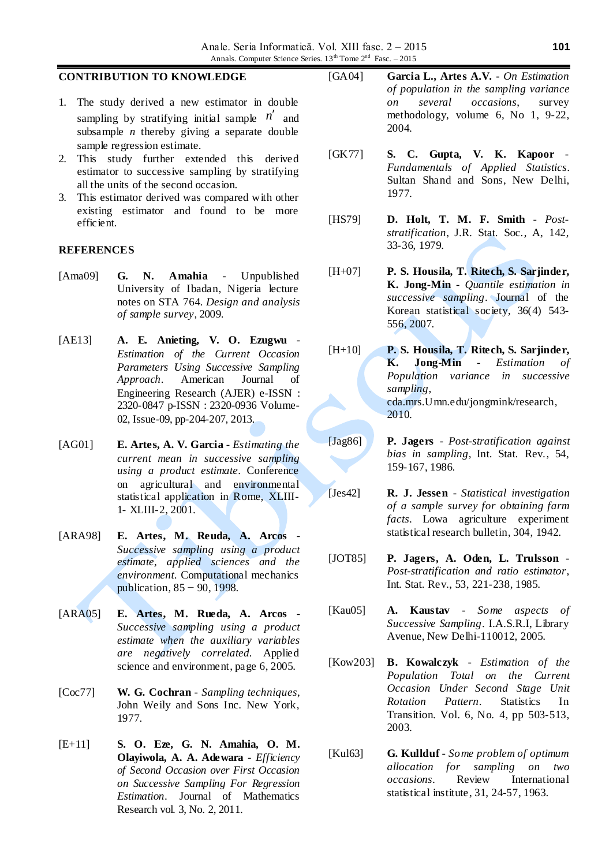## **CONTRIBUTION TO KNOWLEDGE**

- 1. The study derived a new estimator in double sampling by stratifying initial sample  $n'$  and subsample *n* thereby giving a separate double sample regression estimate.
- 2. This study further extended this derived estimator to successive sampling by stratifying all the units of the second occasion.
- 3. This estimator derived was compared with other existing estimator and found to be more efficient.

## **REFERENCES**

- [Ama09] **G. N. Amahia** Unpublished University of Ibadan, Nigeria lecture notes on STA 764. *Design and analysis of sample survey*, 2009.
- [AE13] **A. E. Anieting, V. O. Ezugwu** *Estimation of the Current Occasion Parameters Using Successive Sampling Approach*. American Journal of Engineering Research (AJER) e-ISSN : 2320-0847 p-ISSN : 2320-0936 Volume-02, Issue-09, pp-204-207, 2013.
- [AG01] **E. Artes, A. V. Garcia** *Estimating the current mean in successive sampling using a product estimate*. Conference on agricultural and environmental statistical application in Rome, XLIII-1- XLIII-2, 2001.
- [ARA98] **E. Artes, M. Reuda, A. Arcos** *Successive sampling using a product estimate, applied sciences and the environment*. Computational mechanics publication, 85 − 90, 1998.
- [ARA05] **E. Artes, M. Rueda, A. Arcos** *Successive sampling using a product estimate when the auxiliary variables are negatively correlated*. Applied science and environment, page 6, 2005.
- [Coc77] **W. G. Cochran** *Sampling techniques*, John Weily and Sons Inc. New York, 1977.
- [E+11] **S. O. Eze, G. N. Amahia, O. M. Olayiwola, A. A. Adewara** - *Efficiency of Second Occasion over First Occasion on Successive Sampling For Regression Estimation*. Journal of Mathematics Research vol. 3, No. 2, 2011.
- [GA04] **Garcia L., Artes A.V. -** *On Estimation of population in the sampling variance on several occasions*, survey methodology, volume 6, No 1, 9-22, 2004.
- [GK77] **S. C. Gupta, V. K. Kapoor** *Fundamentals of Applied Statistics.* Sultan Shand and Sons, New Delhi, 1977.
- [HS79] **D. Holt, T. M. F. Smith** *Poststratification*, J.R. Stat. Soc., A, 142, 33-36, 1979.
- [H+07] **P. S. Housila, T. Ritech, S. Sarjinder, K. Jong-Min** - *Quantile estimation in successive sampling*. Journal of the Korean statistical society, 36(4) 543- 556, 2007.
- [H+10] **P. S. Housila, T. Ritech, S. Sarjinder, K. Jong-Min** - *Estimation of Population variance in successive sampling*, cda.mrs.Umn.edu/jongmink/research, 2010.
- [Jag86] **P. Jagers** *Post-stratification against bias in sampling*, Int. Stat. Rev., 54, 159-167, 1986.
- [Jes42] **R. J. Jessen** *Statistical investigation of a sample survey for obtaining farm facts*. Lowa agriculture experiment statistical research bulletin, 304, 1942.
- [JOT85] **P. Jagers, A. Oden, L. Trulsson** *Post-stratification and ratio estimator*, Int. Stat. Rev., 53, 221-238, 1985.
- [Kau05] **A. Kaustav** *Some aspects of Successive Sampling*. I.A.S.R.I, Library Avenue, New Delhi-110012, 2005.
- [Kow203] **B. Kowalczyk** *Estimation of the Population Total on the Current Occasion Under Second Stage Unit Rotation Pattern*. Statistics In Transition. Vol. 6, No. 4, pp 503-513, 2003.
- [Kul63] **G. Kullduf** *Some problem of optimum allocation for sampling on two occasions*. Review International statistical institute, 31, 24-57, 1963.